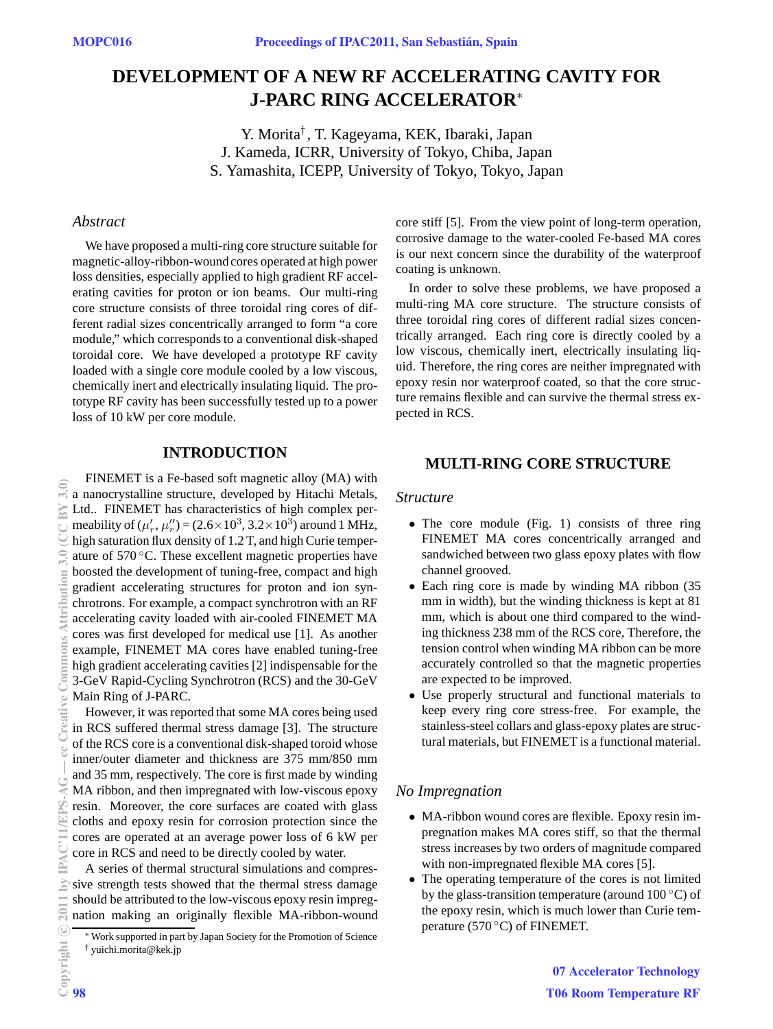# **DEVELOPMENT OF A NEW RF ACCELERATING CAVITY FOR J-PARC RING ACCELERATOR**<sup>∗</sup>

Y. Morita† , T. Kageyama, KEK, Ibaraki, Japan J. Kameda, ICRR, University of Tokyo, Chiba, Japan S. Yamashita, ICEPP, University of Tokyo, Tokyo, Japan

#### *Abstract*

We have proposed a multi-ring core structure suitable for magnetic-alloy-ribbon-wound cores operated at high power loss densities, especially applied to high gradient RF accelerating cavities for proton or ion beams. Our multi-ring core structure consists of three toroidal ring cores of different radial sizes concentrically arranged to form "a core module," which corresponds to a conventional disk-shaped toroidal core. We have developed a prototype RF cavity loaded with a single core module cooled by a low viscous, chemically inert and electrically insulating liquid. The prototype RF cavity has been successfully tested up to a power loss of 10 kW per core module.

## **INTRODUCTION**

FINEMET is a Fe-based soft magnetic alloy (MA) with a nanocrystalline structure, developed by Hitachi Metals, Ltd.. FINEMET has characteristics of high complex permeability of  $(\mu'_r, \mu''_r) = (2.6 \times 10^3, 3.2 \times 10^3)$  around 1 MHz, high saturation flux density of 1.2 T, and high Curie temperature of 570 ◦C. These excellent magnetic properties have boosted the development of tuning-free, compact and high gradient accelerating structures for proton and ion synchrotrons. For example, a compact synchrotron with an RF accelerating cavity loaded with air-cooled FINEMET MA cores was first developed for medical use [1]. As another example, FINEMET MA cores have enabled tuning-free high gradient accelerating cavities [2] indispensable for the 3-GeV Rapid-Cycling Synchrotron (RCS) and the 30-GeV Main Ring of J-PARC. 2011 by IPAC'11/EPS-AG — cc Creative Commons Attribution 3.0 (CC BY 3.0)

However, it was reported that some MA cores being used in RCS suffered thermal stress damage [3]. The structure of the RCS core is a conventional disk-shaped toroid whose inner/outer diameter and thickness are 375 mm/850 mm and 35 mm, respectively. The core is first made by winding MA ribbon, and then impregnated with low-viscous epoxy resin. Moreover, the core surfaces are coated with glass cloths and epoxy resin for corrosion protection since the cores are operated at an average power loss of 6 kW per core in RCS and need to be directly cooled by water.

A series of thermal structural simulations and compres- $\geq$  sive strength tests showed that the thermal stress damage should be attributed to the low-viscous epoxy resin impregnation making an originally flexible MA-ribbon-wound core stiff [5]. From the view point of long-term operation, corrosive damage to the water-cooled Fe-based MA cores is our next concern since the durability of the waterproof coating is unknown.

In order to solve these problems, we have proposed a multi-ring MA core structure. The structure consists of three toroidal ring cores of different radial sizes concentrically arranged. Each ring core is directly cooled by a low viscous, chemically inert, electrically insulating liquid. Therefore, the ring cores are neither impregnated with epoxy resin nor waterproof coated, so that the core structure remains flexible and can survive the thermal stress expected in RCS.

# **MULTI-RING CORE STRUCTURE**

#### *Structure*

- The core module (Fig. 1) consists of three ring FINEMET MA cores concentrically arranged and sandwiched between two glass epoxy plates with flow channel grooved.
- Each ring core is made by winding MA ribbon (35 mm in width), but the winding thickness is kept at 81 mm, which is about one third compared to the winding thickness 238 mm of the RCS core, Therefore, the tension control when winding MA ribbon can be more accurately controlled so that the magnetic properties are expected to be improved.
- Use properly structural and functional materials to keep every ring core stress-free. For example, the stainless-steel collars and glass-epoxy plates are structural materials, but FINEMET is a functional material.

### *No Impregnation*

- MA-ribbon wound cores are flexible. Epoxy resin impregnation makes MA cores stiff, so that the thermal stress increases by two orders of magnitude compared with non-impregnated flexible MA cores [5].
- The operating temperature of the cores is not limited by the glass-transition temperature (around  $100\degree C$ ) of the epoxy resin, which is much lower than Curie temperature (570 $\degree$ C) of FINEMET.

c○

 $20$ 

 $3.0$ RY

E

2 Creati

<sup>∗</sup>Work supported in part by Japan Society for the Promotion of Science † yuichi.morita@kek.jp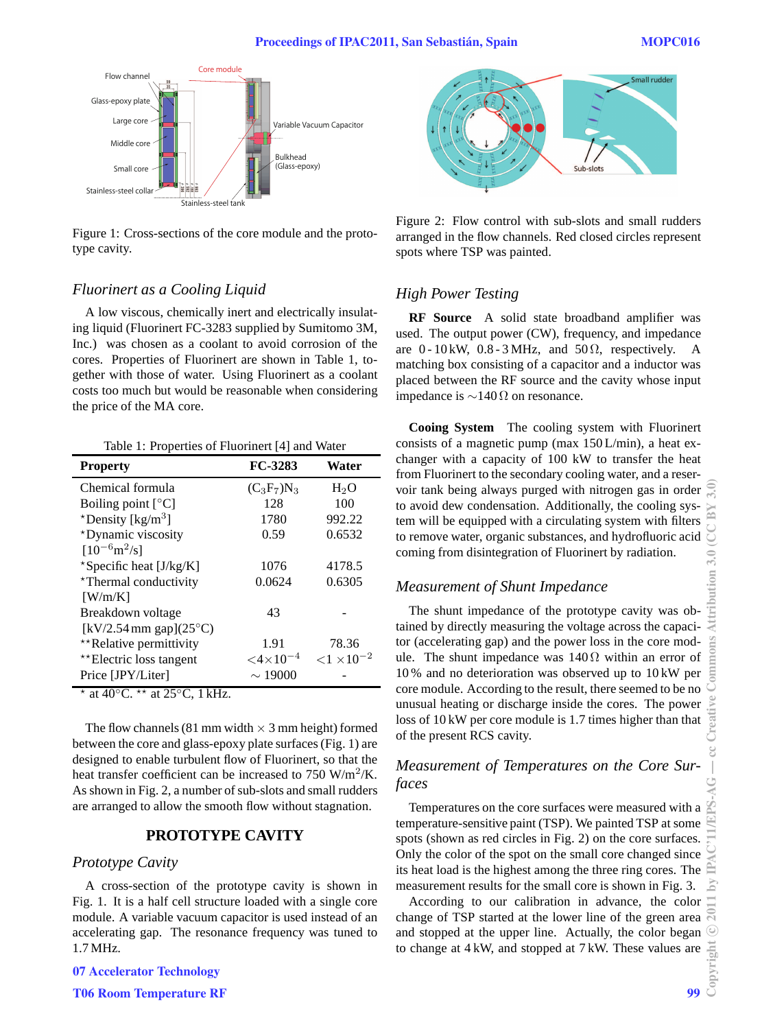

Figure 1: Cross-sections of the core module and the prototype cavity.

## *Fluorinert as a Cooling Liquid*

A low viscous, chemically inert and electrically insulating liquid (Fluorinert FC-3283 supplied by Sumitomo 3M, Inc.) was chosen as a coolant to avoid corrosion of the cores. Properties of Fluorinert are shown in Table 1, together with those of water. Using Fluorinert as a coolant costs too much but would be reasonable when considering the price of the MA core.

Table 1: Properties of Fluorinert [4] and Water

| <b>Property</b>                    | FC-3283               | Water                 |
|------------------------------------|-----------------------|-----------------------|
| Chemical formula                   | $(C_3F_7)N_3$         | $H_2O$                |
| Boiling point $[°C]$               | 128                   | 100                   |
| *Density [ $\text{kg/m}^3$ ]       | 1780                  | 992.22                |
| *Dynamic viscosity                 | 0.59                  | 0.6532                |
| $[10^{-6} \text{m}^2/\text{s}]$    |                       |                       |
| *Specific heat $[J/kg/K]$          | 1076                  | 4178.5                |
| *Thermal conductivity              | 0.0624                | 0.6305                |
| [W/m/K]                            |                       |                       |
| Breakdown voltage                  | 43                    |                       |
| $[kV/2.54$ mm gap $](25^{\circ}C)$ |                       |                       |
| **Relative permittivity            | 1.91                  | 78.36                 |
| **Electric loss tangent            | ${<}4{\times}10^{-4}$ | ${<}1 \times 10^{-2}$ |
| Price [JPY/Liter]                  | $\sim$ 19000          |                       |
| $*$ at $100C + *$ at $250C + 115T$ |                       |                       |

⋆ at 40 $°C.$  \*\* at 25 $°C,$  1 kHz.

The flow channels (81 mm width  $\times$  3 mm height) formed between the core and glass-epoxy plate surfaces (Fig. 1) are designed to enable turbulent flow of Fluorinert, so that the heat transfer coefficient can be increased to  $750 \text{ W/m}^2/\text{K}$ . As shown in Fig. 2, a number of sub-slots and small rudders are arranged to allow the smooth flow without stagnation.

# **PROTOTYPE CAVITY**

#### *Prototype Cavity*

A cross-section of the prototype cavity is shown in Fig. 1. It is a half cell structure loaded with a single core module. A variable vacuum capacitor is used instead of an accelerating gap. The resonance frequency was tuned to 1.7 MHz.



Figure 2: Flow control with sub-slots and small rudders arranged in the flow channels. Red closed circles represent spots where TSP was painted.

# *High Power Testing*

**RF Source** A solid state broadband amplifier was used. The output power (CW), frequency, and impedance are 0 - 10 kW, 0.8 - 3 MHz, and 50  $\Omega$ , respectively. A matching box consisting of a capacitor and a inductor was placed between the RF source and the cavity whose input impedance is ∼140 Ω on resonance.

**Cooing System** The cooling system with Fluorinert consists of a magnetic pump (max 150 L/min), a heat exchanger with a capacity of 100 kW to transfer the heat from Fluorinert to the secondary cooling water, and a reservoir tank being always purged with nitrogen gas in order to avoid dew condensation. Additionally, the cooling system will be equipped with a circulating system with filters to remove water, organic substances, and hydrofluoric acid coming from disintegration of Fluorinert by radiation.

#### *Measurement of Shunt Impedance*

The shunt impedance of the prototype cavity was obtained by directly measuring the voltage across the capacitor (accelerating gap) and the power loss in the core module. The shunt impedance was  $140\Omega$  within an error of 10 % and no deterioration was observed up to 10 kW per core module. According to the result, there seemed to be no unusual heating or discharge inside the cores. The power loss of 10 kW per core module is 1.7 times higher than that of the present RCS cavity.

# *Measurement of Temperatures on the Core Surfaces*

Temperatures on the core surfaces were measured with a temperature-sensitive paint (TSP). We painted TSP at some spots (shown as red circles in Fig. 2) on the core surfaces. Only the color of the spot on the small core changed since its heat load is the highest among the three ring cores. The measurement results for the small core is shown in Fig. 3.

According to our calibration in advance, the color change of TSP started at the lower line of the green area and stopped at the upper line. Actually, the color began to change at 4 kW, and stopped at 7 kW. These values are